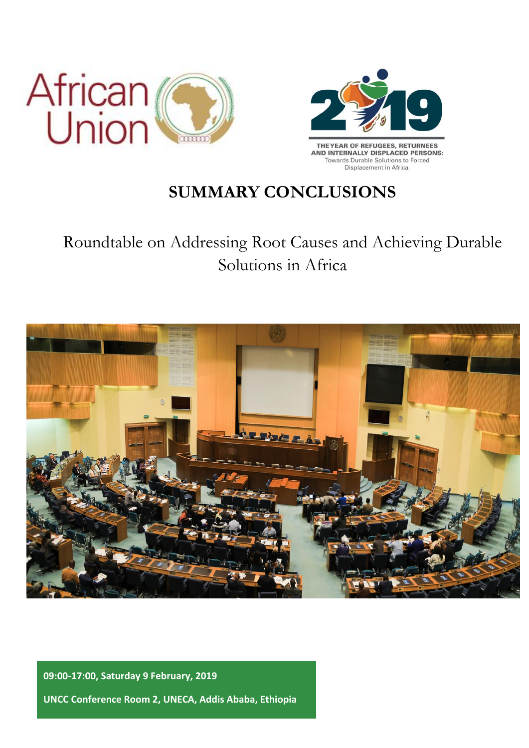



## **SUMMARY CONCLUSIONS**

# Roundtable on Addressing Root Causes and Achieving Durable Solutions in Africa



**09:00-17:00, Saturday 9 February, 2019 UNCC Conference Room 2, UNECA, Addis Ababa, Ethiopia**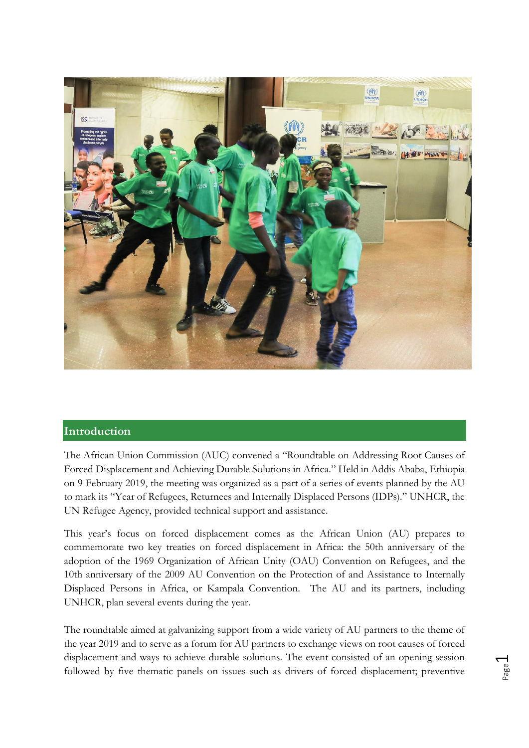

#### **Introduction**

The African Union Commission (AUC) convened a "Roundtable on Addressing Root Causes of Forced Displacement and Achieving Durable Solutions in Africa." Held in Addis Ababa, Ethiopia on 9 February 2019, the meeting was organized as a part of a series of events planned by the AU to mark its "Year of Refugees, Returnees and Internally Displaced Persons (IDPs)." UNHCR, the UN Refugee Agency, provided technical support and assistance.

This year's focus on forced displacement comes as the African Union (AU) prepares to commemorate two key treaties on forced displacement in Africa: the 50th anniversary of the adoption of the 1969 Organization of African Unity (OAU) Convention on Refugees, and the 10th anniversary of the 2009 AU Convention on the Protection of and Assistance to Internally Displaced Persons in Africa, or Kampala Convention. The AU and its partners, including UNHCR, plan several events during the year.

The roundtable aimed at galvanizing support from a wide variety of AU partners to the theme of the year 2019 and to serve as a forum for AU partners to exchange views on root causes of forced displacement and ways to achieve durable solutions. The event consisted of an opening session followed by five thematic panels on issues such as drivers of forced displacement; preventive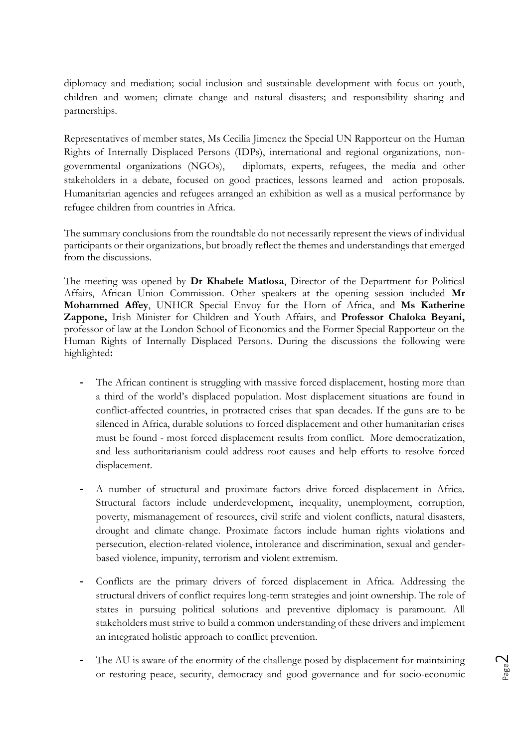diplomacy and mediation; social inclusion and sustainable development with focus on youth, children and women; climate change and natural disasters; and responsibility sharing and partnerships.

Representatives of member states, Ms Cecilia Jimenez the Special UN Rapporteur on the Human Rights of Internally Displaced Persons (IDPs), international and regional organizations, nongovernmental organizations (NGOs), diplomats, experts, refugees, the media and other stakeholders in a debate, focused on good practices, lessons learned and action proposals. Humanitarian agencies and refugees arranged an exhibition as well as a musical performance by refugee children from countries in Africa.

The summary conclusions from the roundtable do not necessarily represent the views of individual participants or their organizations, but broadly reflect the themes and understandings that emerged from the discussions.

The meeting was opened by **Dr Khabele Matlosa**, Director of the Department for Political Affairs, African Union Commission. Other speakers at the opening session included **Mr Mohammed Affey**, UNHCR Special Envoy for the Horn of Africa, and **Ms Katherine Zappone,** Irish Minister for Children and Youth Affairs, and **Professor Chaloka Beyani,**  professor of law at the London School of Economics and the Former Special Rapporteur on the Human Rights of Internally Displaced Persons. During the discussions the following were highlighted**:**

- **-** The African continent is struggling with massive forced displacement, hosting more than a third of the world's displaced population. Most displacement situations are found in conflict-affected countries, in protracted crises that span decades. If the guns are to be silenced in Africa, durable solutions to forced displacement and other humanitarian crises must be found - most forced displacement results from conflict. More democratization, and less authoritarianism could address root causes and help efforts to resolve forced displacement.
- **-** A number of structural and proximate factors drive forced displacement in Africa. Structural factors include underdevelopment, inequality, unemployment, corruption, poverty, mismanagement of resources, civil strife and violent conflicts, natural disasters, drought and climate change. Proximate factors include human rights violations and persecution, election-related violence, intolerance and discrimination, sexual and genderbased violence, impunity, terrorism and violent extremism.
- **-** Conflicts are the primary drivers of forced displacement in Africa. Addressing the structural drivers of conflict requires long-term strategies and joint ownership. The role of states in pursuing political solutions and preventive diplomacy is paramount. All stakeholders must strive to build a common understanding of these drivers and implement an integrated holistic approach to conflict prevention.
- **-** The AU is aware of the enormity of the challenge posed by displacement for maintaining or restoring peace, security, democracy and good governance and for socio-economic

Page  $\curvearrowright$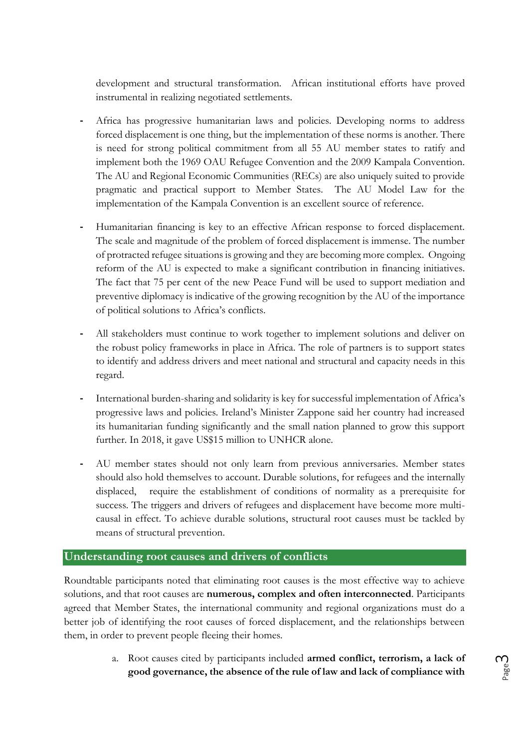development and structural transformation. African institutional efforts have proved instrumental in realizing negotiated settlements.

- **-** Africa has progressive humanitarian laws and policies. Developing norms to address forced displacement is one thing, but the implementation of these norms is another. There is need for strong political commitment from all 55 AU member states to ratify and implement both the 1969 OAU Refugee Convention and the 2009 Kampala Convention. The AU and Regional Economic Communities (RECs) are also uniquely suited to provide pragmatic and practical support to Member States. The AU Model Law for the implementation of the Kampala Convention is an excellent source of reference.
- **-** Humanitarian financing is key to an effective African response to forced displacement. The scale and magnitude of the problem of forced displacement is immense. The number of protracted refugee situations is growing and they are becoming more complex. Ongoing reform of the AU is expected to make a significant contribution in financing initiatives. The fact that 75 per cent of the new Peace Fund will be used to support mediation and preventive diplomacy is indicative of the growing recognition by the AU of the importance of political solutions to Africa's conflicts.
- **-** All stakeholders must continue to work together to implement solutions and deliver on the robust policy frameworks in place in Africa. The role of partners is to support states to identify and address drivers and meet national and structural and capacity needs in this regard.
- **-** International burden-sharing and solidarity is key for successful implementation of Africa's progressive laws and policies. Ireland's Minister Zappone said her country had increased its humanitarian funding significantly and the small nation planned to grow this support further. In 2018, it gave US\$15 million to UNHCR alone.
- **-** AU member states should not only learn from previous anniversaries. Member states should also hold themselves to account. Durable solutions, for refugees and the internally displaced, require the establishment of conditions of normality as a prerequisite for success. The triggers and drivers of refugees and displacement have become more multicausal in effect. To achieve durable solutions, structural root causes must be tackled by means of structural prevention.

#### **Understanding root causes and drivers of conflicts**

Roundtable participants noted that eliminating root causes is the most effective way to achieve solutions, and that root causes are **numerous, complex and often interconnected**. Participants agreed that Member States, the international community and regional organizations must do a better job of identifying the root causes of forced displacement, and the relationships between them, in order to prevent people fleeing their homes.

> a. Root causes cited by participants included **armed conflict, terrorism, a lack of good governance, the absence of the rule of law and lack of compliance with**

Page ന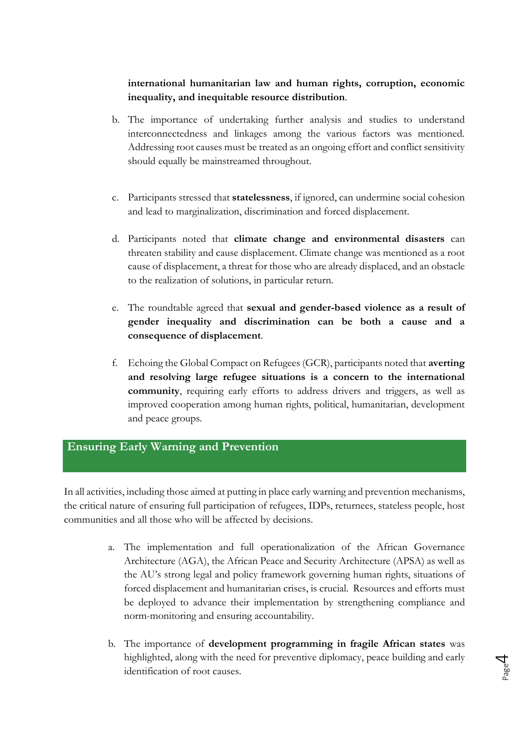#### **international humanitarian law and human rights, corruption, economic inequality, and inequitable resource distribution**.

- b. The importance of undertaking further analysis and studies to understand interconnectedness and linkages among the various factors was mentioned. Addressing root causes must be treated as an ongoing effort and conflict sensitivity should equally be mainstreamed throughout.
- c. Participants stressed that **statelessness**, if ignored, can undermine social cohesion and lead to marginalization, discrimination and forced displacement.
- d. Participants noted that **climate change and environmental disasters** can threaten stability and cause displacement. Climate change was mentioned as a root cause of displacement, a threat for those who are already displaced, and an obstacle to the realization of solutions, in particular return.
- e. The roundtable agreed that **sexual and gender-based violence as a result of gender inequality and discrimination can be both a cause and a consequence of displacement**.
- f. Echoing the Global Compact on Refugees (GCR), participants noted that **averting and resolving large refugee situations is a concern to the international community**, requiring early efforts to address drivers and triggers, as well as improved cooperation among human rights, political, humanitarian, development and peace groups.

### **Ensuring Early Warning and Prevention**

In all activities, including those aimed at putting in place early warning and prevention mechanisms, the critical nature of ensuring full participation of refugees, IDPs, returnees, stateless people, host communities and all those who will be affected by decisions.

- a. The implementation and full operationalization of the African Governance Architecture (AGA), the African Peace and Security Architecture (APSA) as well as the AU's strong legal and policy framework governing human rights, situations of forced displacement and humanitarian crises, is crucial. Resources and efforts must be deployed to advance their implementation by strengthening compliance and norm-monitoring and ensuring accountability.
- b. The importance of **development programming in fragile African states** was highlighted, along with the need for preventive diplomacy, peace building and early identification of root causes.

Page 4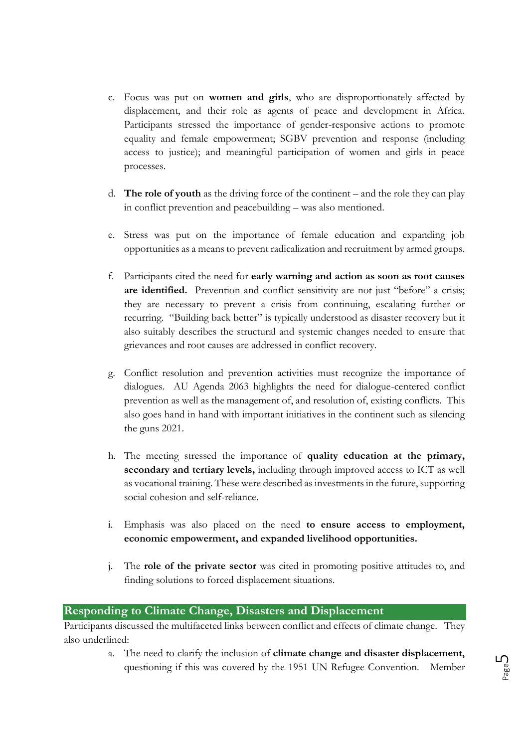- c. Focus was put on **women and girls**, who are disproportionately affected by displacement, and their role as agents of peace and development in Africa. Participants stressed the importance of gender-responsive actions to promote equality and female empowerment; SGBV prevention and response (including access to justice); and meaningful participation of women and girls in peace processes.
- d. **The role of youth** as the driving force of the continent and the role they can play in conflict prevention and peacebuilding – was also mentioned.
- e. Stress was put on the importance of female education and expanding job opportunities as a means to prevent radicalization and recruitment by armed groups.
- f. Participants cited the need for **early warning and action as soon as root causes are identified.** Prevention and conflict sensitivity are not just "before" a crisis; they are necessary to prevent a crisis from continuing, escalating further or recurring. "Building back better" is typically understood as disaster recovery but it also suitably describes the structural and systemic changes needed to ensure that grievances and root causes are addressed in conflict recovery.
- g. Conflict resolution and prevention activities must recognize the importance of dialogues. AU Agenda 2063 highlights the need for dialogue-centered conflict prevention as well as the management of, and resolution of, existing conflicts. This also goes hand in hand with important initiatives in the continent such as silencing the guns 2021.
- h. The meeting stressed the importance of **quality education at the primary, secondary and tertiary levels,** including through improved access to ICT as well as vocational training. These were described as investments in the future, supporting social cohesion and self-reliance.
- i. Emphasis was also placed on the need **to ensure access to employment, economic empowerment, and expanded livelihood opportunities.**
- j. The **role of the private sector** was cited in promoting positive attitudes to, and finding solutions to forced displacement situations.

#### **Responding to Climate Change, Disasters and Displacement**

Participants discussed the multifaceted links between conflict and effects of climate change. They also underlined:

> a. The need to clarify the inclusion of **climate change and disaster displacement,**  questioning if this was covered by the 1951 UN Refugee Convention. Member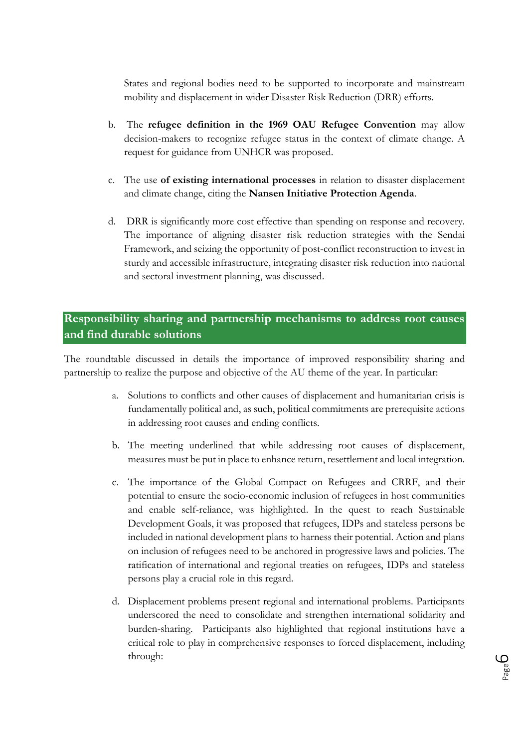States and regional bodies need to be supported to incorporate and mainstream mobility and displacement in wider Disaster Risk Reduction (DRR) efforts.

- b. The **refugee definition in the 1969 OAU Refugee Convention** may allow decision-makers to recognize refugee status in the context of climate change. A request for guidance from UNHCR was proposed.
- c. The use **of existing international processes** in relation to disaster displacement and climate change, citing the **Nansen Initiative Protection Agenda**.
- d. DRR is significantly more cost effective than spending on response and recovery. The importance of aligning disaster risk reduction strategies with the Sendai Framework, and seizing the opportunity of post-conflict reconstruction to invest in sturdy and accessible infrastructure, integrating disaster risk reduction into national and sectoral investment planning, was discussed.

## **Responsibility sharing and partnership mechanisms to address root causes and find durable solutions**

The roundtable discussed in details the importance of improved responsibility sharing and partnership to realize the purpose and objective of the AU theme of the year. In particular:

- a. Solutions to conflicts and other causes of displacement and humanitarian crisis is fundamentally political and, as such, political commitments are prerequisite actions in addressing root causes and ending conflicts.
- b. The meeting underlined that while addressing root causes of displacement, measures must be put in place to enhance return, resettlement and local integration.
- c. The importance of the Global Compact on Refugees and CRRF, and their potential to ensure the socio-economic inclusion of refugees in host communities and enable self-reliance, was highlighted. In the quest to reach Sustainable Development Goals, it was proposed that refugees, IDPs and stateless persons be included in national development plans to harness their potential. Action and plans on inclusion of refugees need to be anchored in progressive laws and policies. The ratification of international and regional treaties on refugees, IDPs and stateless persons play a crucial role in this regard.
- d. Displacement problems present regional and international problems. Participants underscored the need to consolidate and strengthen international solidarity and burden-sharing. Participants also highlighted that regional institutions have a critical role to play in comprehensive responses to forced displacement, including through:

Page ص